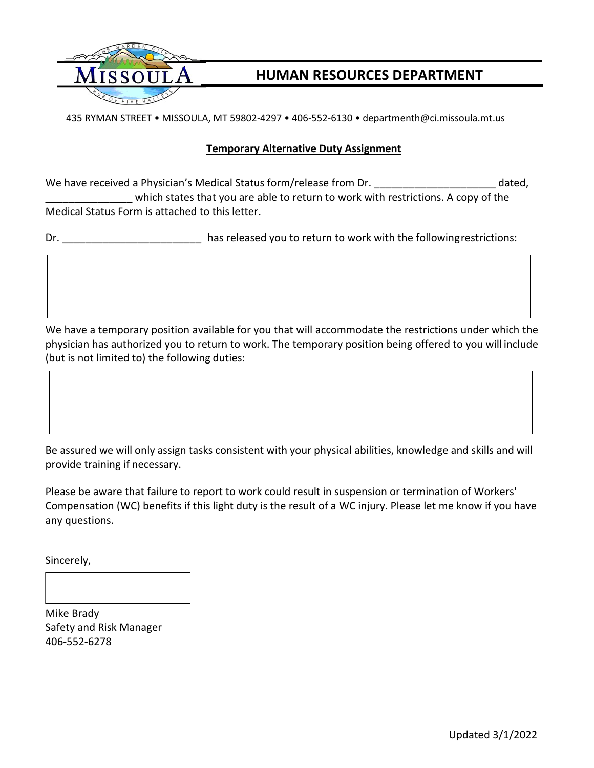

## **HUMAN RESOURCES DEPARTMENT**

435 RYMAN STREET • MISSOULA, MT 59802-4297 • 406-552-6130 • departmenth@ci.missoula.mt.us

## **Temporary Alternative Duty Assignment**

We have received a Physician's Medical Status form/release from Dr. \_\_\_\_\_\_\_\_\_\_\_\_\_\_\_\_\_\_\_\_\_\_\_\_\_ dated, which states that you are able to return to work with restrictions. A copy of the Medical Status Form is attached to this letter.

Dr. \_\_\_\_\_\_\_\_\_\_\_\_\_\_\_\_\_\_\_\_\_\_\_\_ has released you to return to work with the followingrestrictions:

We have a temporary position available for you that will accommodate the restrictions under which the physician has authorized you to return to work. The temporary position being offered to you will include (but is not limited to) the following duties:

Be assured we will only assign tasks consistent with your physical abilities, knowledge and skills and will provide training if necessary.

Please be aware that failure to report to work could result in suspension or termination of Workers' Compensation (WC) benefits if this light duty is the result of a WC injury. Please let me know if you have any questions.

Sincerely,

Mike Brady Safety and Risk Manager 406-552-6278